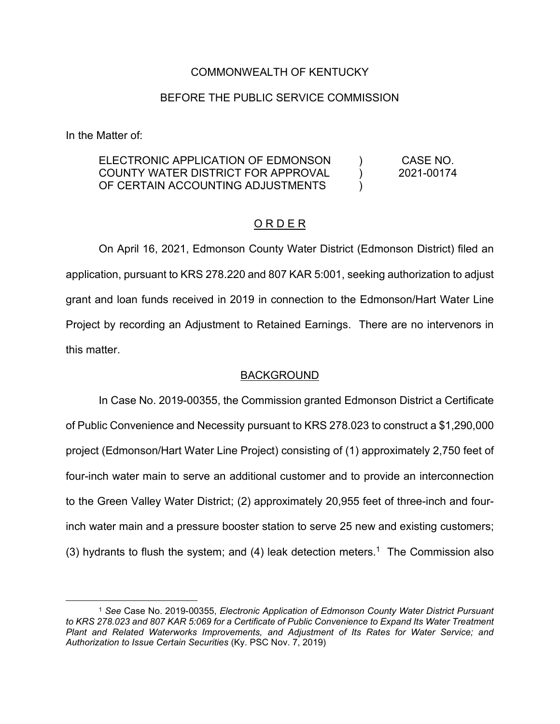## COMMONWEALTH OF KENTUCKY

### BEFORE THE PUBLIC SERVICE COMMISSION

In the Matter of:

#### ELECTRONIC APPLICATION OF EDMONSON COUNTY WATER DISTRICT FOR APPROVAL OF CERTAIN ACCOUNTING ADJUSTMENTS  $\lambda$ )  $\lambda$ CASE NO. 2021-00174

### O R D E R

On April 16, 2021, Edmonson County Water District (Edmonson District) filed an application, pursuant to KRS 278.220 and 807 KAR 5:001, seeking authorization to adjust grant and loan funds received in 2019 in connection to the Edmonson/Hart Water Line Project by recording an Adjustment to Retained Earnings. There are no intervenors in this matter.

#### BACKGROUND

In Case No. 2019-00355, the Commission granted Edmonson District a Certificate of Public Convenience and Necessity pursuant to KRS 278.023 to construct a \$1,290,000 project (Edmonson/Hart Water Line Project) consisting of (1) approximately 2,750 feet of four-inch water main to serve an additional customer and to provide an interconnection to the Green Valley Water District; (2) approximately 20,955 feet of three-inch and fourinch water main and a pressure booster station to serve 25 new and existing customers; (3) hydrants to flush the system; and (4) leak detection meters.<sup>1</sup> The Commission also

<sup>1</sup> *See* Case No. 2019-00355, *Electronic Application of Edmonson County Water District Pursuant to KRS 278.023 and 807 KAR 5:069 for a Certificate of Public Convenience to Expand Its Water Treatment Plant and Related Waterworks Improvements, and Adjustment of Its Rates for Water Service; and Authorization to Issue Certain Securities* (Ky. PSC Nov. 7, 2019)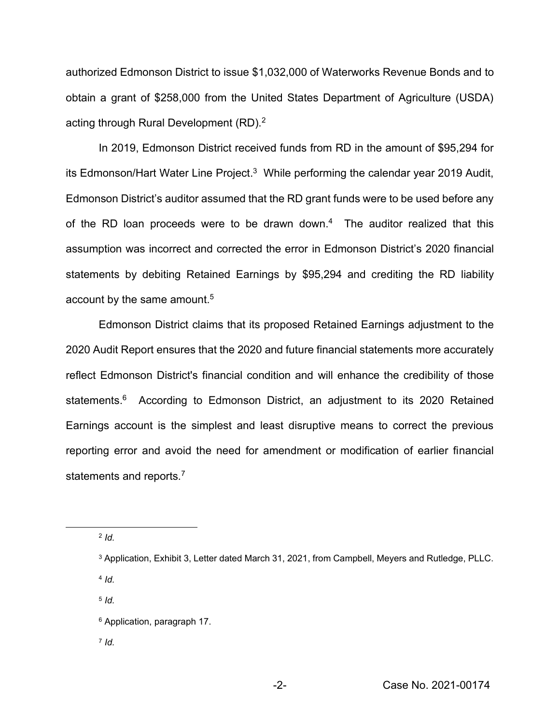authorized Edmonson District to issue \$1,032,000 of Waterworks Revenue Bonds and to obtain a grant of \$258,000 from the United States Department of Agriculture (USDA) acting through Rural Development (RD).<sup>2</sup>

In 2019, Edmonson District received funds from RD in the amount of \$95,294 for its Edmonson/Hart Water Line Project.<sup>3</sup> While performing the calendar year 2019 Audit, Edmonson District's auditor assumed that the RD grant funds were to be used before any of the RD loan proceeds were to be drawn down.<sup>4</sup> The auditor realized that this assumption was incorrect and corrected the error in Edmonson District's 2020 financial statements by debiting Retained Earnings by \$95,294 and crediting the RD liability account by the same amount.<sup>5</sup>

Edmonson District claims that its proposed Retained Earnings adjustment to the 2020 Audit Report ensures that the 2020 and future financial statements more accurately reflect Edmonson District's financial condition and will enhance the credibility of those statements.<sup>6</sup> According to Edmonson District, an adjustment to its 2020 Retained Earnings account is the simplest and least disruptive means to correct the previous reporting error and avoid the need for amendment or modification of earlier financial statements and reports.<sup>7</sup>

<sup>2</sup> *Id.*

<sup>4</sup> *Id.*

<sup>5</sup> *Id.*

<sup>7</sup> *Id.*

<sup>3</sup> Application, Exhibit 3, Letter dated March 31, 2021, from Campbell, Meyers and Rutledge, PLLC.

<sup>6</sup> Application, paragraph 17.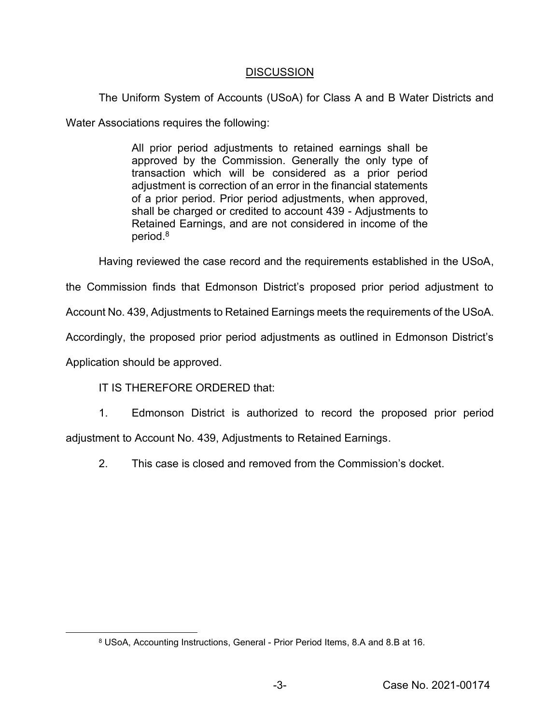# **DISCUSSION**

The Uniform System of Accounts (USoA) for Class A and B Water Districts and Water Associations requires the following:

> All prior period adjustments to retained earnings shall be approved by the Commission. Generally the only type of transaction which will be considered as a prior period adjustment is correction of an error in the financial statements of a prior period. Prior period adjustments, when approved, shall be charged or credited to account 439 - Adjustments to Retained Earnings, and are not considered in income of the period.8

Having reviewed the case record and the requirements established in the USoA,

the Commission finds that Edmonson District's proposed prior period adjustment to

Account No. 439, Adjustments to Retained Earnings meets the requirements of the USoA.

Accordingly, the proposed prior period adjustments as outlined in Edmonson District's

Application should be approved.

# IT IS THEREFORE ORDERED that:

1. Edmonson District is authorized to record the proposed prior period adjustment to Account No. 439, Adjustments to Retained Earnings.

2. This case is closed and removed from the Commission's docket.

<sup>8</sup> USoA, Accounting Instructions, General - Prior Period Items, 8.A and 8.B at 16.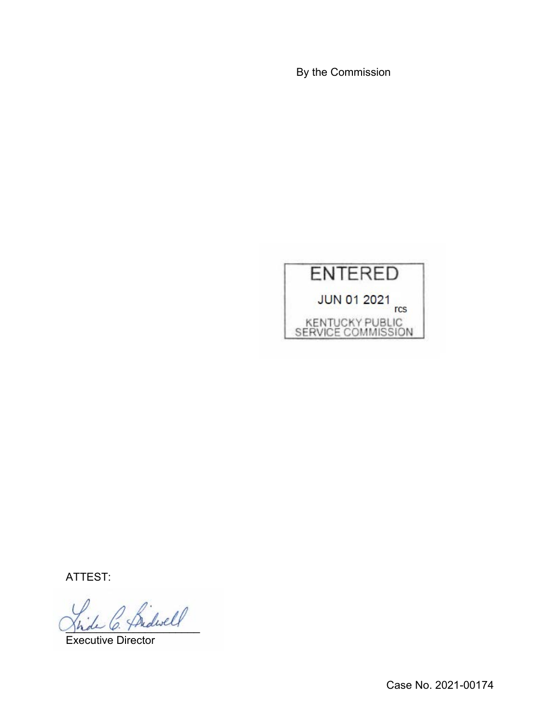By the Commission



ATTEST:

\_\_\_\_\_\_\_\_\_\_\_\_\_\_\_\_\_\_\_\_\_\_

Executive Director

Case No. 2021-00174